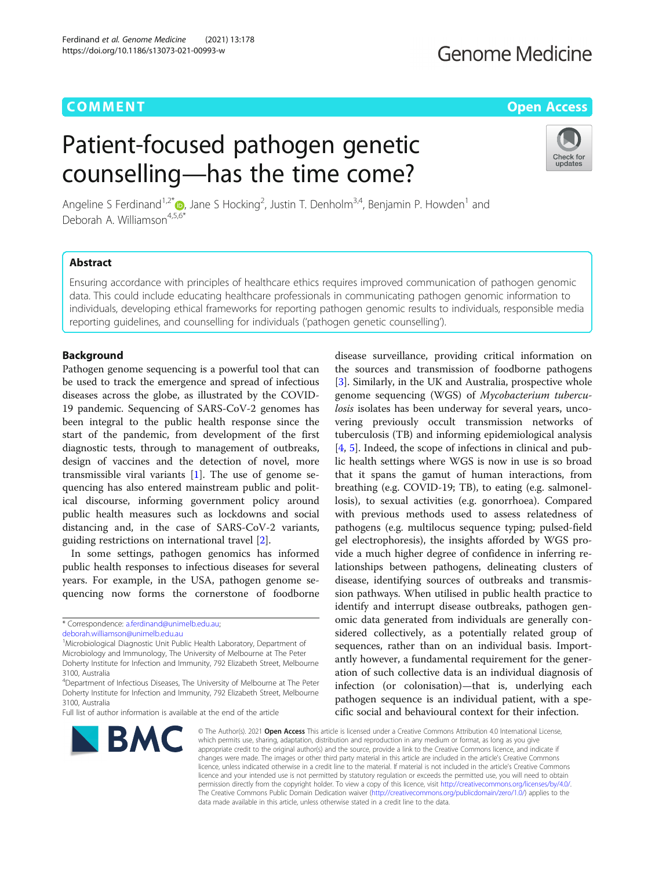## **COMMENT COMMENT COMMENT**

## **Genome Medicine**

# Patient-focused pathogen genetic counselling—has the time come?



Angeline S Ferdinand<sup>1[,](http://orcid.org/0000-0002-4816-5539)2\*</sup> (D, Jane S Hocking<sup>2</sup>, Justin T. Denholm<sup>3,4</sup>, Benjamin P. Howden<sup>1</sup> and Deborah A. Williamson<sup>4,5,6\*</sup>

## Abstract

Ensuring accordance with principles of healthcare ethics requires improved communication of pathogen genomic data. This could include educating healthcare professionals in communicating pathogen genomic information to individuals, developing ethical frameworks for reporting pathogen genomic results to individuals, responsible media reporting guidelines, and counselling for individuals ('pathogen genetic counselling').

## Background

Pathogen genome sequencing is a powerful tool that can be used to track the emergence and spread of infectious diseases across the globe, as illustrated by the COVID-19 pandemic. Sequencing of SARS-CoV-2 genomes has been integral to the public health response since the start of the pandemic, from development of the first diagnostic tests, through to management of outbreaks, design of vaccines and the detection of novel, more transmissible viral variants [\[1](#page-2-0)]. The use of genome sequencing has also entered mainstream public and political discourse, informing government policy around public health measures such as lockdowns and social distancing and, in the case of SARS-CoV-2 variants, guiding restrictions on international travel [\[2](#page-2-0)].

In some settings, pathogen genomics has informed public health responses to infectious diseases for several years. For example, in the USA, pathogen genome sequencing now forms the cornerstone of foodborne

Full list of author information is available at the end of the article



disease surveillance, providing critical information on the sources and transmission of foodborne pathogens [[3\]](#page-2-0). Similarly, in the UK and Australia, prospective whole genome sequencing (WGS) of Mycobacterium tuberculosis isolates has been underway for several years, uncovering previously occult transmission networks of tuberculosis (TB) and informing epidemiological analysis [[4,](#page-2-0) [5\]](#page-2-0). Indeed, the scope of infections in clinical and public health settings where WGS is now in use is so broad that it spans the gamut of human interactions, from breathing (e.g. COVID-19; TB), to eating (e.g. salmonellosis), to sexual activities (e.g. gonorrhoea). Compared with previous methods used to assess relatedness of pathogens (e.g. multilocus sequence typing; pulsed-field gel electrophoresis), the insights afforded by WGS provide a much higher degree of confidence in inferring relationships between pathogens, delineating clusters of disease, identifying sources of outbreaks and transmission pathways. When utilised in public health practice to identify and interrupt disease outbreaks, pathogen genomic data generated from individuals are generally considered collectively, as a potentially related group of sequences, rather than on an individual basis. Importantly however, a fundamental requirement for the generation of such collective data is an individual diagnosis of infection (or colonisation)—that is, underlying each pathogen sequence is an individual patient, with a specific social and behavioural context for their infection.

© The Author(s). 2021 Open Access This article is licensed under a Creative Commons Attribution 4.0 International License, which permits use, sharing, adaptation, distribution and reproduction in any medium or format, as long as you give appropriate credit to the original author(s) and the source, provide a link to the Creative Commons licence, and indicate if changes were made. The images or other third party material in this article are included in the article's Creative Commons licence, unless indicated otherwise in a credit line to the material. If material is not included in the article's Creative Commons licence and your intended use is not permitted by statutory regulation or exceeds the permitted use, you will need to obtain permission directly from the copyright holder. To view a copy of this licence, visit [http://creativecommons.org/licenses/by/4.0/.](http://creativecommons.org/licenses/by/4.0/) The Creative Commons Public Domain Dedication waiver [\(http://creativecommons.org/publicdomain/zero/1.0/](http://creativecommons.org/publicdomain/zero/1.0/)) applies to the data made available in this article, unless otherwise stated in a credit line to the data.

<sup>\*</sup> Correspondence: [a.ferdinand@unimelb.edu.au](mailto:a.ferdinand@unimelb.edu.au);

[deborah.williamson@unimelb.edu.au](mailto:deborah.williamson@unimelb.edu.au)

<sup>&</sup>lt;sup>1</sup>Microbiological Diagnostic Unit Public Health Laboratory, Department of Microbiology and Immunology, The University of Melbourne at The Peter Doherty Institute for Infection and Immunity, 792 Elizabeth Street, Melbourne 3100, Australia

<sup>&</sup>lt;sup>4</sup>Department of Infectious Diseases, The University of Melbourne at The Peter Doherty Institute for Infection and Immunity, 792 Elizabeth Street, Melbourne 3100, Australia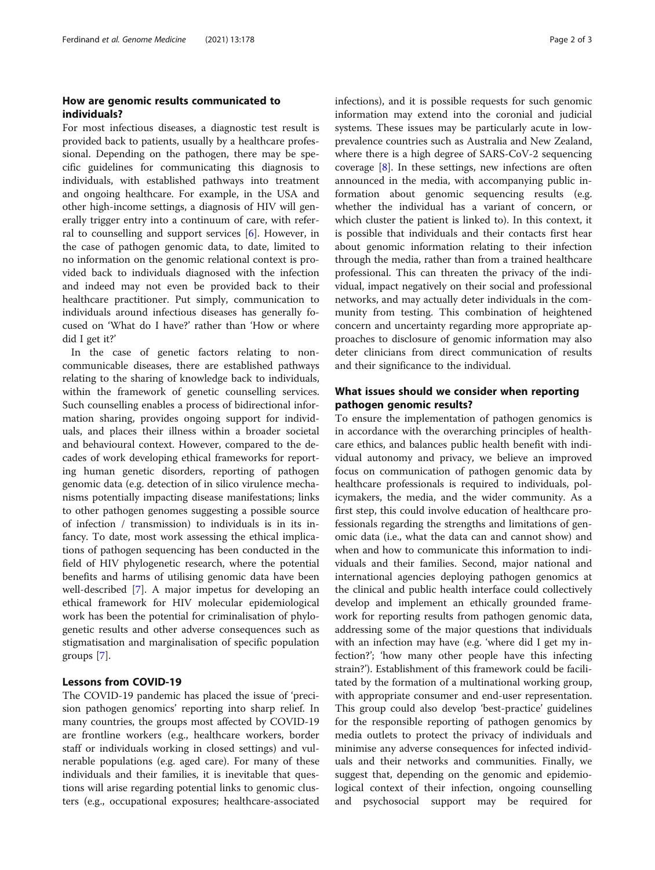### How are genomic results communicated to individuals?

For most infectious diseases, a diagnostic test result is provided back to patients, usually by a healthcare professional. Depending on the pathogen, there may be specific guidelines for communicating this diagnosis to individuals, with established pathways into treatment and ongoing healthcare. For example, in the USA and other high-income settings, a diagnosis of HIV will generally trigger entry into a continuum of care, with referral to counselling and support services [\[6\]](#page-2-0). However, in the case of pathogen genomic data, to date, limited to no information on the genomic relational context is provided back to individuals diagnosed with the infection and indeed may not even be provided back to their healthcare practitioner. Put simply, communication to individuals around infectious diseases has generally focused on 'What do I have?' rather than 'How or where did I get it?'

In the case of genetic factors relating to noncommunicable diseases, there are established pathways relating to the sharing of knowledge back to individuals, within the framework of genetic counselling services. Such counselling enables a process of bidirectional information sharing, provides ongoing support for individuals, and places their illness within a broader societal and behavioural context. However, compared to the decades of work developing ethical frameworks for reporting human genetic disorders, reporting of pathogen genomic data (e.g. detection of in silico virulence mechanisms potentially impacting disease manifestations; links to other pathogen genomes suggesting a possible source of infection / transmission) to individuals is in its infancy. To date, most work assessing the ethical implications of pathogen sequencing has been conducted in the field of HIV phylogenetic research, where the potential benefits and harms of utilising genomic data have been well-described [\[7](#page-2-0)]. A major impetus for developing an ethical framework for HIV molecular epidemiological work has been the potential for criminalisation of phylogenetic results and other adverse consequences such as stigmatisation and marginalisation of specific population groups [[7\]](#page-2-0).

#### Lessons from COVID-19

The COVID-19 pandemic has placed the issue of 'precision pathogen genomics' reporting into sharp relief. In many countries, the groups most affected by COVID-19 are frontline workers (e.g., healthcare workers, border staff or individuals working in closed settings) and vulnerable populations (e.g. aged care). For many of these individuals and their families, it is inevitable that questions will arise regarding potential links to genomic clusters (e.g., occupational exposures; healthcare-associated infections), and it is possible requests for such genomic information may extend into the coronial and judicial systems. These issues may be particularly acute in lowprevalence countries such as Australia and New Zealand, where there is a high degree of SARS-CoV-2 sequencing coverage [[8](#page-2-0)]. In these settings, new infections are often announced in the media, with accompanying public information about genomic sequencing results (e.g. whether the individual has a variant of concern, or which cluster the patient is linked to). In this context, it is possible that individuals and their contacts first hear about genomic information relating to their infection through the media, rather than from a trained healthcare professional. This can threaten the privacy of the individual, impact negatively on their social and professional networks, and may actually deter individuals in the community from testing. This combination of heightened concern and uncertainty regarding more appropriate approaches to disclosure of genomic information may also deter clinicians from direct communication of results and their significance to the individual.

## What issues should we consider when reporting pathogen genomic results?

To ensure the implementation of pathogen genomics is in accordance with the overarching principles of healthcare ethics, and balances public health benefit with individual autonomy and privacy, we believe an improved focus on communication of pathogen genomic data by healthcare professionals is required to individuals, policymakers, the media, and the wider community. As a first step, this could involve education of healthcare professionals regarding the strengths and limitations of genomic data (i.e., what the data can and cannot show) and when and how to communicate this information to individuals and their families. Second, major national and international agencies deploying pathogen genomics at the clinical and public health interface could collectively develop and implement an ethically grounded framework for reporting results from pathogen genomic data, addressing some of the major questions that individuals with an infection may have (e.g. 'where did I get my infection?'; 'how many other people have this infecting strain?'). Establishment of this framework could be facilitated by the formation of a multinational working group, with appropriate consumer and end-user representation. This group could also develop 'best-practice' guidelines for the responsible reporting of pathogen genomics by media outlets to protect the privacy of individuals and minimise any adverse consequences for infected individuals and their networks and communities. Finally, we suggest that, depending on the genomic and epidemiological context of their infection, ongoing counselling and psychosocial support may be required for